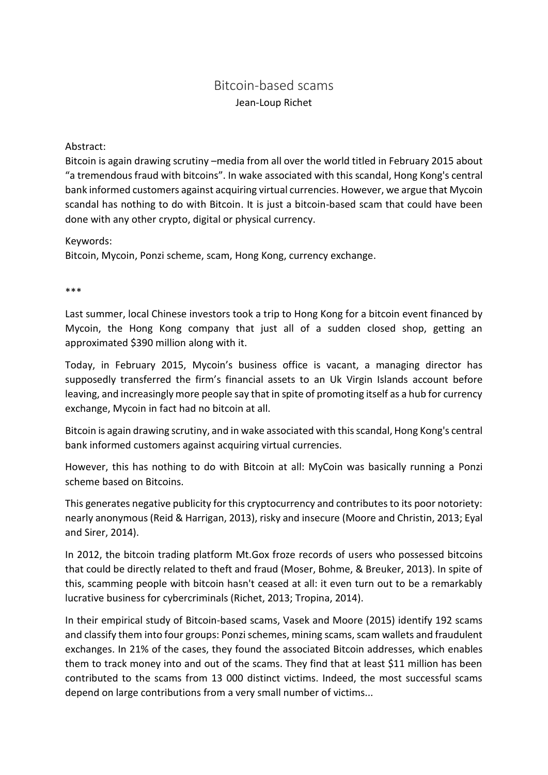## Bitcoin-based scams Jean-Loup Richet

## Abstract:

Bitcoin is again drawing scrutiny –media from all over the world titled in February 2015 about "a tremendous fraud with bitcoins". In wake associated with this scandal, Hong Kong's central bank informed customers against acquiring virtual currencies. However, we argue that Mycoin scandal has nothing to do with Bitcoin. It is just a bitcoin-based scam that could have been done with any other crypto, digital or physical currency.

Keywords:

Bitcoin, Mycoin, Ponzi scheme, scam, Hong Kong, currency exchange.

\*\*\*

Last summer, local Chinese investors took a trip to Hong Kong for a bitcoin event financed by Mycoin, the Hong Kong company that just all of a sudden closed shop, getting an approximated \$390 million along with it.

Today, in February 2015, Mycoin's business office is vacant, a managing director has supposedly transferred the firm's financial assets to an Uk Virgin Islands account before leaving, and increasingly more people say that in spite of promoting itself as a hub for currency exchange, Mycoin in fact had no bitcoin at all.

Bitcoin is again drawing scrutiny, and in wake associated with this scandal, Hong Kong's central bank informed customers against acquiring virtual currencies.

However, this has nothing to do with Bitcoin at all: MyCoin was basically running a Ponzi scheme based on Bitcoins.

This generates negative publicity for this cryptocurrency and contributes to its poor notoriety: nearly anonymous (Reid & Harrigan, 2013), risky and insecure (Moore and Christin, 2013; Eyal and Sirer, 2014).

In 2012, the bitcoin trading platform Mt.Gox froze records of users who possessed bitcoins that could be directly related to theft and fraud (Moser, Bohme, & Breuker, 2013). In spite of this, scamming people with bitcoin hasn't ceased at all: it even turn out to be a remarkably lucrative business for cybercriminals (Richet, 2013; Tropina, 2014).

In their empirical study of Bitcoin-based scams, Vasek and Moore (2015) identify 192 scams and classify them into four groups: Ponzi schemes, mining scams, scam wallets and fraudulent exchanges. In 21% of the cases, they found the associated Bitcoin addresses, which enables them to track money into and out of the scams. They find that at least \$11 million has been contributed to the scams from 13 000 distinct victims. Indeed, the most successful scams depend on large contributions from a very small number of victims...